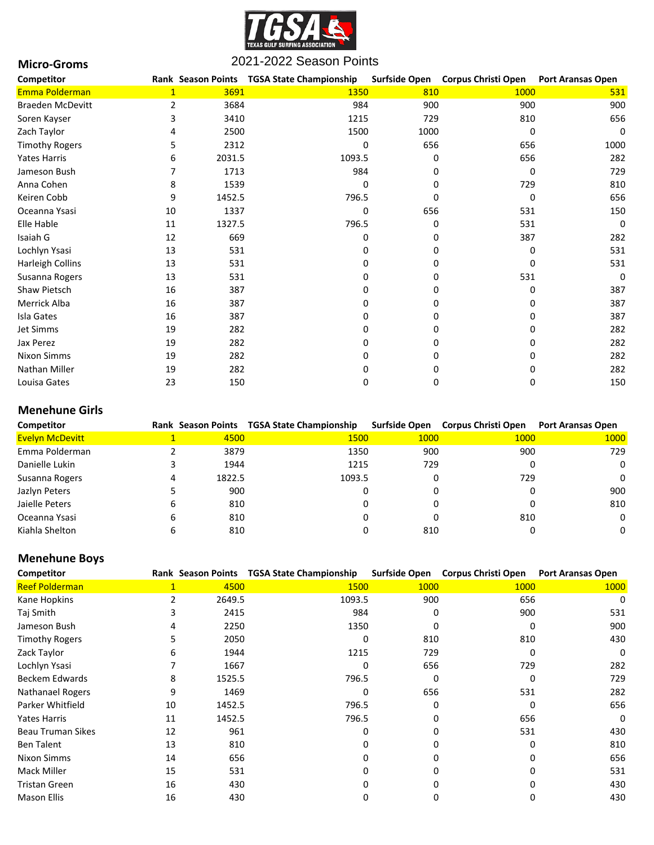

| <b>Micro-Groms</b>      | 2021-2022 Season Points |        |                                            |          |                                   |                          |
|-------------------------|-------------------------|--------|--------------------------------------------|----------|-----------------------------------|--------------------------|
| Competitor              |                         |        | Rank Season Points TGSA State Championship |          | Surfside Open Corpus Christi Open | <b>Port Aransas Open</b> |
| Emma Polderman          | $\mathbf{1}$            | 3691   | 1350                                       | 810      | 1000                              | 531                      |
| <b>Braeden McDevitt</b> | $\overline{2}$          | 3684   | 984                                        | 900      | 900                               | 900                      |
| Soren Kayser            | 3                       | 3410   | 1215                                       | 729      | 810                               | 656                      |
| Zach Taylor             |                         | 2500   | 1500                                       | 1000     | 0                                 | 0                        |
| <b>Timothy Rogers</b>   | 5                       | 2312   | 0                                          | 656      | 656                               | 1000                     |
| <b>Yates Harris</b>     | 6                       | 2031.5 | 1093.5                                     | 0        | 656                               | 282                      |
| Jameson Bush            |                         | 1713   | 984                                        | ŋ        | 0                                 | 729                      |
| Anna Cohen              | 8                       | 1539   | 0                                          | 0        | 729                               | 810                      |
| Keiren Cobb             | 9                       | 1452.5 | 796.5                                      | $\Omega$ | $\Omega$                          | 656                      |
| Oceanna Ysasi           | 10                      | 1337   | 0                                          | 656      | 531                               | 150                      |
| Elle Hable              | 11                      | 1327.5 | 796.5                                      | 0        | 531                               | 0                        |
| Isaiah G                | 12                      | 669    | $\Omega$                                   | $\Omega$ | 387                               | 282                      |
| Lochlyn Ysasi           | 13                      | 531    | <sup>0</sup>                               | 0        | 0                                 | 531                      |
| Harleigh Collins        | 13                      | 531    | U                                          | 0        | 0                                 | 531                      |
| Susanna Rogers          | 13                      | 531    | O                                          | 0        | 531                               | $\Omega$                 |
| Shaw Pietsch            | 16                      | 387    | ŋ                                          | 0        | 0                                 | 387                      |
| Merrick Alba            | 16                      | 387    | ŋ                                          | $\Omega$ | n                                 | 387                      |
| Isla Gates              | 16                      | 387    | ŋ                                          | 0        |                                   | 387                      |
| Jet Simms               | 19                      | 282    |                                            | 0        |                                   | 282                      |
| Jax Perez               | 19                      | 282    |                                            | 0        |                                   | 282                      |
| <b>Nixon Simms</b>      | 19                      | 282    |                                            | 0        |                                   | 282                      |
| <b>Nathan Miller</b>    | 19                      | 282    |                                            | 0        |                                   | 282                      |
| Louisa Gates            | 23                      | 150    | 0                                          | 0        | 0                                 | 150                      |

# **Menehune Girls**

| Competitor             |   |        | Rank Season Points TGSA State Championship | Surfside Open | Corpus Christi Open | <b>Port Aransas Open</b> |
|------------------------|---|--------|--------------------------------------------|---------------|---------------------|--------------------------|
| <b>Evelyn McDevitt</b> |   | 4500   | 1500                                       | 1000          | <b>1000</b>         | 1000                     |
| Emma Polderman         |   | 3879   | 1350                                       | 900           | 900                 | 729                      |
| Danielle Lukin         |   | 1944   | 1215                                       | 729           |                     | 0                        |
| Susanna Rogers         |   | 1822.5 | 1093.5                                     |               | 729                 | $\Omega$                 |
| Jazlyn Peters          |   | 900    | 0                                          |               |                     | 900                      |
| Jaielle Peters         | 6 | 810    |                                            |               |                     | 810                      |
| Oceanna Ysasi          | 6 | 810    |                                            |               | 810                 | $\Omega$                 |
| Kiahla Shelton         |   | 810    |                                            | 810           |                     | 0                        |

## **Menehune Boys**

| Competitor               |    | <b>Rank Season Points</b> | <b>TGSA State Championship</b> | <b>Surfside Open</b> | <b>Corpus Christi Open</b> | <b>Port Aransas Open</b> |
|--------------------------|----|---------------------------|--------------------------------|----------------------|----------------------------|--------------------------|
| <b>Reef Polderman</b>    |    | 4500                      | 1500                           | 1000                 | 1000                       | 1000                     |
| Kane Hopkins             | 2  | 2649.5                    | 1093.5                         | 900                  | 656                        | 0                        |
| Taj Smith                |    | 2415                      | 984                            | ŋ                    | 900                        | 531                      |
| Jameson Bush             |    | 2250                      | 1350                           |                      | O                          | 900                      |
| <b>Timothy Rogers</b>    |    | 2050                      | $\Omega$                       | 810                  | 810                        | 430                      |
| Zack Taylor              | h  | 1944                      | 1215                           | 729                  | 0                          | 0                        |
| Lochlyn Ysasi            |    | 1667                      | ŋ                              | 656                  | 729                        | 282                      |
| <b>Beckem Edwards</b>    | 8  | 1525.5                    | 796.5                          | 0                    | 0                          | 729                      |
| <b>Nathanael Rogers</b>  | q  | 1469                      |                                | 656                  | 531                        | 282                      |
| Parker Whitfield         | 10 | 1452.5                    | 796.5                          |                      | ŋ                          | 656                      |
| Yates Harris             | 11 | 1452.5                    | 796.5                          |                      | 656                        | 0                        |
| <b>Beau Truman Sikes</b> | 12 | 961                       |                                |                      | 531                        | 430                      |
| <b>Ben Talent</b>        | 13 | 810                       |                                | O                    | 0                          | 810                      |
| Nixon Simms              | 14 | 656                       |                                | O                    | U                          | 656                      |
| Mack Miller              | 15 | 531                       |                                |                      |                            | 531                      |
| <b>Tristan Green</b>     | 16 | 430                       |                                |                      |                            | 430                      |
| <b>Mason Ellis</b>       | 16 | 430                       |                                |                      |                            | 430                      |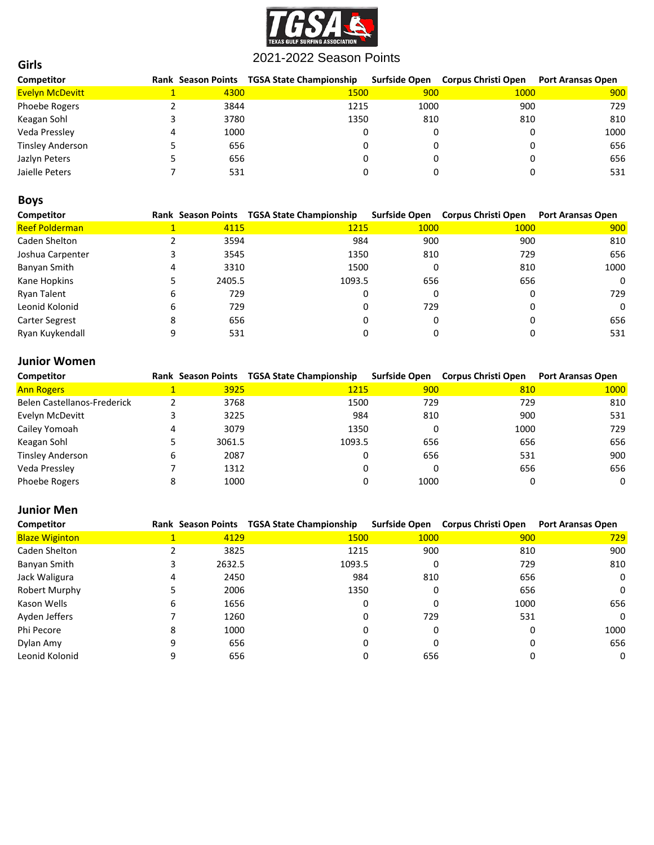

| Competitor              |      | Rank Season Points TGSA State Championship |      | Surfside Open Corpus Christi Open | <b>Port Aransas Open</b> |
|-------------------------|------|--------------------------------------------|------|-----------------------------------|--------------------------|
| <b>Evelyn McDevitt</b>  | 4300 | 1500                                       | 900  | 1000                              | 900                      |
| Phoebe Rogers           | 3844 | 1215                                       | 1000 | 900                               | 729                      |
| Keagan Sohl             | 3780 | 1350                                       | 810  | 810                               | 810                      |
| Veda Pressley           | 1000 |                                            |      |                                   | 1000                     |
| <b>Tinsley Anderson</b> | 656  |                                            |      |                                   | 656                      |
| Jazlyn Peters           | 656  |                                            |      |                                   | 656                      |
| Jaielle Peters          | 531  |                                            |      |                                   | 531                      |

## **Boys**

**Girls**

| Competitor            |   | <b>Rank Season Points</b> | <b>TGSA State Championship</b> |      | Surfside Open Corpus Christi Open | <b>Port Aransas Open</b> |
|-----------------------|---|---------------------------|--------------------------------|------|-----------------------------------|--------------------------|
| <b>Reef Polderman</b> |   | 4115                      | 1215                           | 1000 | 1000                              | 900                      |
| Caden Shelton         |   | 3594                      | 984                            | 900  | 900                               | 810                      |
| Joshua Carpenter      |   | 3545                      | 1350                           | 810  | 729                               | 656                      |
| Banyan Smith          |   | 3310                      | 1500                           | 0    | 810                               | 1000                     |
| Kane Hopkins          |   | 2405.5                    | 1093.5                         | 656  | 656                               | $\Omega$                 |
| Ryan Talent           | 6 | 729                       | 0                              | 0    |                                   | 729                      |
| Leonid Kolonid        | 6 | 729                       | 0                              | 729  |                                   | $\Omega$                 |
| <b>Carter Segrest</b> |   | 656                       |                                | 0    |                                   | 656                      |
| Ryan Kuykendall       |   | 531                       |                                |      |                                   | 531                      |

### **Junior Women**

| Competitor                  |         |        | Rank Season Points TGSA State Championship |      | Surfside Open Corpus Christi Open | <b>Port Aransas Open</b> |
|-----------------------------|---------|--------|--------------------------------------------|------|-----------------------------------|--------------------------|
| <b>Ann Rogers</b>           |         | 3925   | 1215                                       | 900  | 810                               | 1000                     |
| Belen Castellanos-Frederick |         | 3768   | 1500                                       | 729  | 729                               | 810                      |
| Evelyn McDevitt             |         | 3225   | 984                                        | 810  | 900                               | 531                      |
| Cailey Yomoah               |         | 3079   | 1350                                       | 0    | 1000                              | 729                      |
| Keagan Sohl                 |         | 3061.5 | 1093.5                                     | 656  | 656                               | 656                      |
| <b>Tinsley Anderson</b>     |         | 2087   |                                            | 656  | 531                               | 900                      |
| Veda Pressley               |         | 1312   |                                            | 0    | 656                               | 656                      |
| <b>Phoebe Rogers</b>        | $\circ$ | 1000   |                                            | 1000 |                                   | 0                        |

### **Junior Men**

| Competitor            |   |        | Rank Season Points TGSA State Championship |      | Surfside Open Corpus Christi Open | <b>Port Aransas Open</b> |
|-----------------------|---|--------|--------------------------------------------|------|-----------------------------------|--------------------------|
| <b>Blaze Wiginton</b> |   | 4129   | 1500                                       | 1000 | 900                               | 729                      |
| Caden Shelton         |   | 3825   | 1215                                       | 900  | 810                               | 900                      |
| Banyan Smith          |   | 2632.5 | 1093.5                                     |      | 729                               | 810                      |
| Jack Waligura         |   | 2450   | 984                                        | 810  | 656                               | 0                        |
| Robert Murphy         |   | 2006   | 1350                                       |      | 656                               | 0                        |
| Kason Wells           | 6 | 1656   | 0                                          |      | 1000                              | 656                      |
| Ayden Jeffers         |   | 1260   | 0                                          | 729  | 531                               | 0                        |
| Phi Pecore            | 8 | 1000   |                                            |      |                                   | 1000                     |
| Dylan Amy             | 9 | 656    |                                            |      |                                   | 656                      |
| Leonid Kolonid        |   | 656    |                                            | 656  |                                   | 0                        |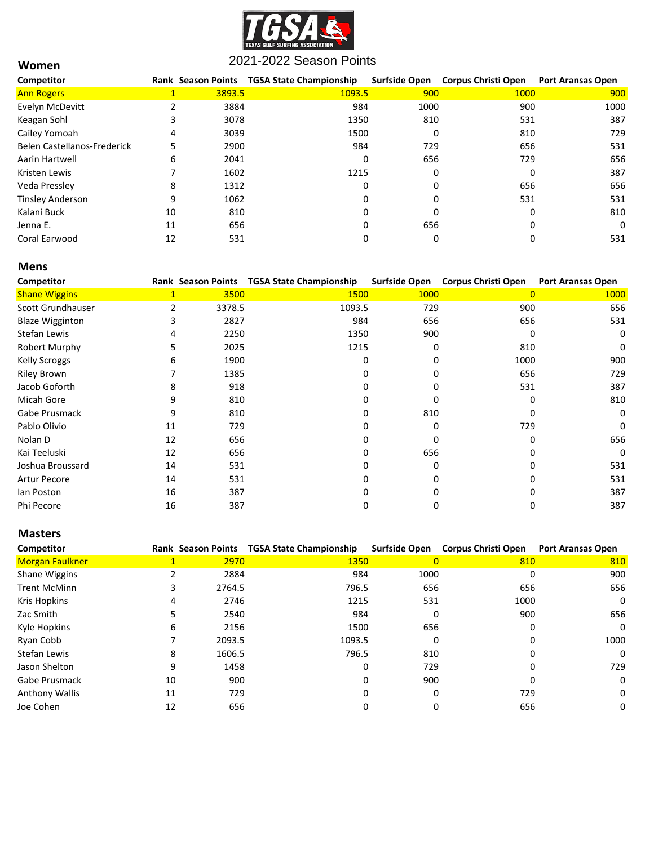

| Competitor                  |    |        | Rank Season Points TGSA State Championship | Surfside Open | <b>Corpus Christi Open</b> | <b>Port Aransas Open</b> |
|-----------------------------|----|--------|--------------------------------------------|---------------|----------------------------|--------------------------|
| <b>Ann Rogers</b>           |    | 3893.5 | 1093.5                                     | 900           | 1000                       | 900                      |
| Evelyn McDevitt             |    | 3884   | 984                                        | 1000          | 900                        | 1000                     |
| Keagan Sohl                 | 3  | 3078   | 1350                                       | 810           | 531                        | 387                      |
| Cailey Yomoah               | 4  | 3039   | 1500                                       | 0             | 810                        | 729                      |
| Belen Castellanos-Frederick | 5  | 2900   | 984                                        | 729           | 656                        | 531                      |
| Aarin Hartwell              | 6  | 2041   | 0                                          | 656           | 729                        | 656                      |
| Kristen Lewis               |    | 1602   | 1215                                       | 0             |                            | 387                      |
| Veda Pressley               | 8  | 1312   | 0                                          | 0             | 656                        | 656                      |
| <b>Tinsley Anderson</b>     | 9  | 1062   | 0                                          | 0             | 531                        | 531                      |
| Kalani Buck                 | 10 | 810    | 0                                          | $\Omega$      | <sup>0</sup>               | 810                      |
| Jenna E.                    | 11 | 656    | 0                                          | 656           |                            | 0                        |
| Coral Earwood               | 12 | 531    | 0                                          | 0             |                            | 531                      |

#### **Mens**

**Women**

| Competitor             |    | <b>Rank Season Points</b> | <b>TGSA State Championship</b> |             | Surfside Open Corpus Christi Open | <b>Port Aransas Open</b> |
|------------------------|----|---------------------------|--------------------------------|-------------|-----------------------------------|--------------------------|
| <b>Shane Wiggins</b>   | 1  | 3500                      | 1500                           | <b>1000</b> | 0                                 | 1000                     |
| Scott Grundhauser      |    | 3378.5                    | 1093.5                         | 729         | 900                               | 656                      |
| <b>Blaze Wigginton</b> |    | 2827                      | 984                            | 656         | 656                               | 531                      |
| Stefan Lewis           | 4  | 2250                      | 1350                           | 900         | O                                 | 0                        |
| Robert Murphy          |    | 2025                      | 1215                           |             | 810                               | 0                        |
| <b>Kelly Scroggs</b>   | 6  | 1900                      | 0                              |             | 1000                              | 900                      |
| <b>Riley Brown</b>     |    | 1385                      |                                |             | 656                               | 729                      |
| Jacob Goforth          | 8  | 918                       |                                |             | 531                               | 387                      |
| Micah Gore             | 9  | 810                       |                                |             |                                   | 810                      |
| Gabe Prusmack          | 9  | 810                       |                                | 810         |                                   | 0                        |
| Pablo Olivio           | 11 | 729                       |                                |             | 729                               | 0                        |
| Nolan D                | 12 | 656                       |                                |             | n                                 | 656                      |
| Kai Teeluski           | 12 | 656                       |                                | 656         |                                   | 0                        |
| Joshua Broussard       | 14 | 531                       |                                |             |                                   | 531                      |
| <b>Artur Pecore</b>    | 14 | 531                       |                                |             |                                   | 531                      |
| lan Poston             | 16 | 387                       |                                |             |                                   | 387                      |
| Phi Pecore             | 16 | 387                       |                                |             |                                   | 387                      |

#### **Masters**

| Competitor            |    |        | Rank Season Points TGSA State Championship | <b>Surfside Open</b> | <b>Corpus Christi Open</b> | <b>Port Aransas Open</b> |
|-----------------------|----|--------|--------------------------------------------|----------------------|----------------------------|--------------------------|
| Morgan Faulkner       |    | 2970   | 1350                                       | $\mathbf{0}$         | 810                        | 810                      |
| <b>Shane Wiggins</b>  |    | 2884   | 984                                        | 1000                 | ი                          | 900                      |
| <b>Trent McMinn</b>   |    | 2764.5 | 796.5                                      | 656                  | 656                        | 656                      |
| <b>Kris Hopkins</b>   | 4  | 2746   | 1215                                       | 531                  | 1000                       | 0                        |
| Zac Smith             |    | 2540   | 984                                        |                      | 900                        | 656                      |
| Kyle Hopkins          | 6  | 2156   | 1500                                       | 656                  |                            | 0                        |
| Ryan Cobb             |    | 2093.5 | 1093.5                                     |                      |                            | 1000                     |
| Stefan Lewis          | 8  | 1606.5 | 796.5                                      | 810                  |                            | 0                        |
| Jason Shelton         | 9  | 1458   | 0                                          | 729                  |                            | 729                      |
| Gabe Prusmack         | 10 | 900    | 0                                          | 900                  |                            | 0                        |
| <b>Anthony Wallis</b> | 11 | 729    | $\Omega$                                   | n                    | 729                        | 0                        |
| Joe Cohen             | 12 | 656    | 0                                          |                      | 656                        | 0                        |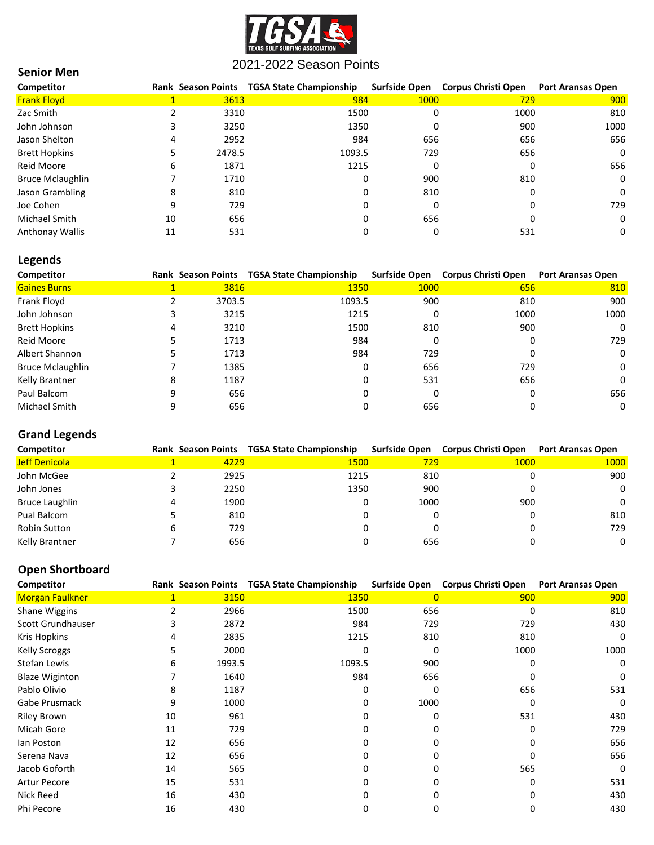

### **Senior Men**

| Competitor              |    |        | Rank Season Points TGSA State Championship | <b>Surfside Open</b> | <b>Corpus Christi Open</b> | <b>Port Aransas Open</b> |
|-------------------------|----|--------|--------------------------------------------|----------------------|----------------------------|--------------------------|
| <b>Frank Floyd</b>      |    | 3613   | 984                                        | 1000                 | 729                        | 900                      |
| Zac Smith               |    | 3310   | 1500                                       | 0                    | 1000                       | 810                      |
| John Johnson            |    | 3250   | 1350                                       | 0                    | 900                        | 1000                     |
| Jason Shelton           | 4  | 2952   | 984                                        | 656                  | 656                        | 656                      |
| <b>Brett Hopkins</b>    |    | 2478.5 | 1093.5                                     | 729                  | 656                        | $\Omega$                 |
| <b>Reid Moore</b>       | 6  | 1871   | 1215                                       | 0                    |                            | 656                      |
| <b>Bruce Mclaughlin</b> |    | 1710   | 0                                          | 900                  | 810                        | 0                        |
| Jason Grambling         | 8  | 810    | 0                                          | 810                  |                            | 0                        |
| Joe Cohen               | 9  | 729    | 0                                          | 0                    |                            | 729                      |
| Michael Smith           | 10 | 656    | 0                                          | 656                  |                            | 0                        |
| <b>Anthonay Wallis</b>  | 11 | 531    |                                            | 0                    | 531                        | 0                        |

# **Legends**

| Competitor              |   |        | Rank Season Points TGSA State Championship |      | Surfside Open Corpus Christi Open | <b>Port Aransas Open</b> |
|-------------------------|---|--------|--------------------------------------------|------|-----------------------------------|--------------------------|
| <b>Gaines Burns</b>     |   | 3816   | 1350                                       | 1000 | 656                               | 810                      |
| Frank Floyd             |   | 3703.5 | 1093.5                                     | 900  | 810                               | 900                      |
| John Johnson            |   | 3215   | 1215                                       |      | 1000                              | 1000                     |
| <b>Brett Hopkins</b>    |   | 3210   | 1500                                       | 810  | 900                               | 0                        |
| Reid Moore              |   | 1713   | 984                                        |      |                                   | 729                      |
| Albert Shannon          |   | 1713   | 984                                        | 729  |                                   | 0                        |
| <b>Bruce Mclaughlin</b> |   | 1385   | 0                                          | 656  | 729                               | 0                        |
| Kelly Brantner          | 8 | 1187   | 0                                          | 531  | 656                               | 0                        |
| Paul Balcom             | 9 | 656    | 0                                          |      |                                   | 656                      |
| Michael Smith           |   | 656    |                                            | 656  |                                   | 0                        |

# **Grand Legends**

| Competitor     |      | Rank Season Points TGSA State Championship |      | Surfside Open Corpus Christi Open | <b>Port Aransas Open</b> |
|----------------|------|--------------------------------------------|------|-----------------------------------|--------------------------|
| Jeff Denicola  | 4229 | 1500                                       | 729  | 1000                              | 1000                     |
| John McGee     | 2925 | 1215                                       | 810  |                                   | 900                      |
| John Jones     | 2250 | 1350                                       | 900  |                                   | 0                        |
| Bruce Laughlin | 1900 |                                            | 1000 | 900                               | 0                        |
| Pual Balcom    | 810  |                                            |      |                                   | 810                      |
| Robin Sutton   | 729  |                                            |      |                                   | 729                      |
| Kelly Brantner | 656  |                                            | 656  |                                   | 0                        |

## **Open Shortboard**

| Competitor            |              |        | Rank Season Points TGSA State Championship | <b>Surfside Open</b> | <b>Corpus Christi Open</b> | <b>Port Aransas Open</b> |
|-----------------------|--------------|--------|--------------------------------------------|----------------------|----------------------------|--------------------------|
| Morgan Faulkner       | $\mathbf{1}$ | 3150   | 1350                                       | $\overline{0}$       | 900                        | 900                      |
| Shane Wiggins         |              | 2966   | 1500                                       | 656                  | 0                          | 810                      |
| Scott Grundhauser     |              | 2872   | 984                                        | 729                  | 729                        | 430                      |
| Kris Hopkins          |              | 2835   | 1215                                       | 810                  | 810                        | 0                        |
| <b>Kelly Scroggs</b>  |              | 2000   |                                            | 0                    | 1000                       | 1000                     |
| Stefan Lewis          | 6            | 1993.5 | 1093.5                                     | 900                  | <sup>0</sup>               | 0                        |
| <b>Blaze Wiginton</b> |              | 1640   | 984                                        | 656                  |                            | $\mathbf{0}$             |
| Pablo Olivio          | 8            | 1187   |                                            |                      | 656                        | 531                      |
| Gabe Prusmack         | ٩            | 1000   |                                            | 1000                 | 0                          | 0                        |
| <b>Riley Brown</b>    | 10           | 961    |                                            |                      | 531                        | 430                      |
| Micah Gore            | 11           | 729    |                                            |                      | $\Omega$                   | 729                      |
| lan Poston            | 12           | 656    |                                            |                      | n                          | 656                      |
| Serena Nava           | 12           | 656    |                                            |                      | ŋ                          | 656                      |
| Jacob Goforth         | 14           | 565    |                                            |                      | 565                        | 0                        |
| <b>Artur Pecore</b>   | 15           | 531    |                                            |                      | 0                          | 531                      |
| Nick Reed             | 16           | 430    |                                            |                      |                            | 430                      |
| Phi Pecore            | 16           | 430    |                                            |                      | 0                          | 430                      |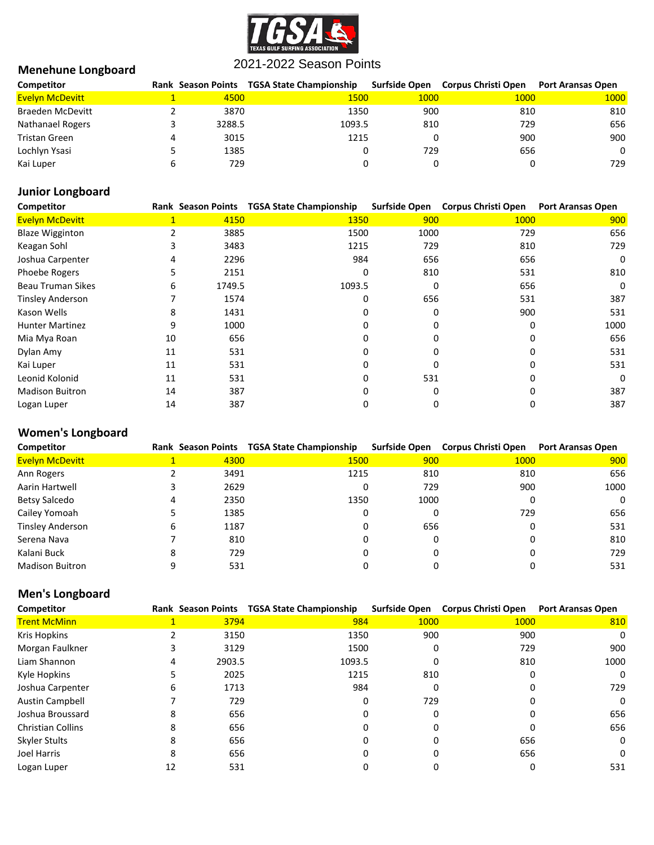

## **Menehune Longboard**

| Competitor              | <b>Rank Season Points</b> | TGSA State Championship | Surfside Open | Corpus Christi Open | <b>Port Aransas Open</b> |
|-------------------------|---------------------------|-------------------------|---------------|---------------------|--------------------------|
| <b>Evelyn McDevitt</b>  | 4500                      | 1500                    | 1000          | 1000                | 1000                     |
| <b>Braeden McDevitt</b> | 3870                      | 1350                    | 900           | 810                 | 810                      |
| Nathanael Rogers        | 3288.5                    | 1093.5                  | 810           | 729                 | 656                      |
| Tristan Green           | 3015                      | 1215                    |               | 900                 | 900                      |
| Lochlyn Ysasi           | 1385                      |                         | 729           | 656                 | 0                        |
| Kai Luper               | 729                       |                         |               |                     | 729                      |

# **Junior Longboard**

| Competitor               |              | <b>Rank Season Points</b> | <b>TGSA State Championship</b> | <b>Surfside Open</b> | <b>Corpus Christi Open</b> | <b>Port Aransas Open</b> |
|--------------------------|--------------|---------------------------|--------------------------------|----------------------|----------------------------|--------------------------|
| <b>Evelyn McDevitt</b>   | $\mathbf{1}$ | 4150                      | 1350                           | 900                  | 1000                       | 900                      |
| <b>Blaze Wigginton</b>   |              | 3885                      | 1500                           | 1000                 | 729                        | 656                      |
| Keagan Sohl              | 3            | 3483                      | 1215                           | 729                  | 810                        | 729                      |
| Joshua Carpenter         | 4            | 2296                      | 984                            | 656                  | 656                        | 0                        |
| Phoebe Rogers            | Ь            | 2151                      | 0                              | 810                  | 531                        | 810                      |
| <b>Beau Truman Sikes</b> | 6            | 1749.5                    | 1093.5                         | 0                    | 656                        | 0                        |
| <b>Tinsley Anderson</b>  |              | 1574                      | 0                              | 656                  | 531                        | 387                      |
| Kason Wells              | 8            | 1431                      | 0                              |                      | 900                        | 531                      |
| <b>Hunter Martinez</b>   | 9            | 1000                      | $\Omega$                       |                      |                            | 1000                     |
| Mia Mya Roan             | 10           | 656                       | 0                              |                      |                            | 656                      |
| Dylan Amy                | 11           | 531                       | 0                              |                      |                            | 531                      |
| Kai Luper                | 11           | 531                       | $\Omega$                       | n                    |                            | 531                      |
| Leonid Kolonid           | 11           | 531                       | 0                              | 531                  |                            | 0                        |
| <b>Madison Buitron</b>   | 14           | 387                       | 0                              | O                    |                            | 387                      |
| Logan Luper              | 14           | 387                       | 0                              | 0                    |                            | 387                      |

# **Women's Longboard**

| Competitor              |   |      | Rank Season Points TGSA State Championship |      | Surfside Open Corpus Christi Open | <b>Port Aransas Open</b> |
|-------------------------|---|------|--------------------------------------------|------|-----------------------------------|--------------------------|
| <b>Evelyn McDevitt</b>  |   | 4300 | 1500                                       | 900  | 1000                              | 900                      |
| Ann Rogers              |   | 3491 | 1215                                       | 810  | 810                               | 656                      |
| Aarin Hartwell          |   | 2629 | 0                                          | 729  | 900                               | 1000                     |
| Betsy Salcedo           |   | 2350 | 1350                                       | 1000 |                                   | 0                        |
| Cailey Yomoah           |   | 1385 | 0                                          |      | 729                               | 656                      |
| <b>Tinsley Anderson</b> | 6 | 1187 | 0                                          | 656  |                                   | 531                      |
| Serena Nava             |   | 810  |                                            |      |                                   | 810                      |
| Kalani Buck             |   | 729  |                                            |      |                                   | 729                      |
| <b>Madison Buitron</b>  |   | 531  |                                            |      |                                   | 531                      |

# **Men's Longboard**

| <b>Competitor</b>        |    |        | Rank Season Points TGSA State Championship | <b>Surfside Open</b> | <b>Corpus Christi Open</b> | <b>Port Aransas Open</b> |
|--------------------------|----|--------|--------------------------------------------|----------------------|----------------------------|--------------------------|
| <b>Trent McMinn</b>      | 1  | 3794   | 984                                        | 1000                 | 1000                       | 810                      |
| <b>Kris Hopkins</b>      |    | 3150   | 1350                                       | 900                  | 900                        | 0                        |
| Morgan Faulkner          |    | 3129   | 1500                                       |                      | 729                        | 900                      |
| Liam Shannon             |    | 2903.5 | 1093.5                                     |                      | 810                        | 1000                     |
| Kyle Hopkins             |    | 2025   | 1215                                       | 810                  |                            | 0                        |
| Joshua Carpenter         | 6  | 1713   | 984                                        |                      |                            | 729                      |
| Austin Campbell          |    | 729    | 0                                          | 729                  |                            | 0                        |
| Joshua Broussard         | 8  | 656    | $\Omega$                                   |                      |                            | 656                      |
| <b>Christian Collins</b> | 8  | 656    | $\Omega$                                   |                      |                            | 656                      |
| Skyler Stults            | 8  | 656    | $\Omega$                                   |                      | 656                        | 0                        |
| Joel Harris              | 8  | 656    | 0                                          |                      | 656                        | 0                        |
| Logan Luper              | 12 | 531    |                                            |                      |                            | 531                      |